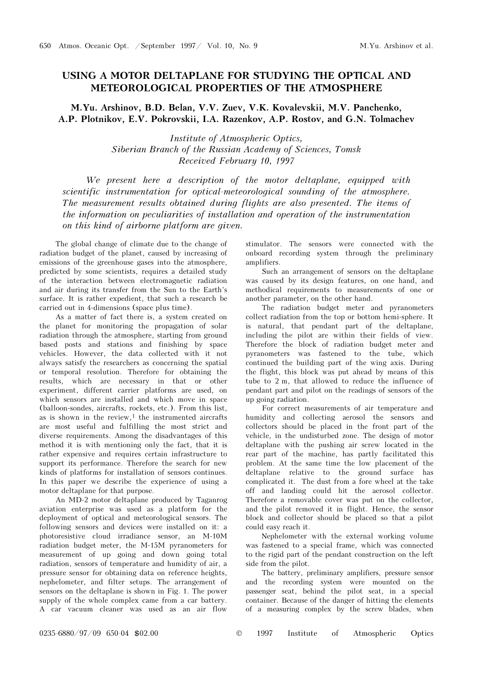## USING A MOTOR DELTAPLANE FOR STUDYING THE OPTICAL AND METEOROLOGICAL PROPERTIES OF THE ATMOSPHERE

M.Yu. Arshinov, B.D. Belan, V.V. Zuev, V.K. Kovalevskii, M.V. Panchenko, A.P. Plotnikov, E.V. Pokrovskii, I.A. Razenkov, A.P. Rostov, and G.N. Tolmachev

> Institute of Atmospheric Optics, Siberian Branch of the Russian Academy of Sciences, Tomsk Received February 10, 1997

We present here a description of the motor deltaplane, equipped with scientific instrumentation for optical-meteorological sounding of the atmosphere. The measurement results obtained during flights are also presented. The items of the information on peculiarities of installation and operation of the instrumentation on this kind of airborne platform are given.

The global change of climate due to the change of radiation budget of the planet, caused by increasing of emissions of the greenhouse gases into the atmosphere, predicted by some scientists, requires a detailed study of the interaction between electromagnetic radiation and air during its transfer from the Sun to the Earth's surface. It is rather expedient, that such a research be carried out in 4-dimensions (space plus time).

As a matter of fact there is, a system created on the planet for monitoring the propagation of solar radiation through the atmosphere, starting from ground based posts and stations and finishing by space vehicles. However, the data collected with it not always satisfy the researchers as concerning the spatial or temporal resolution. Therefore for obtaining the results, which are necessary in that or other experiment, different carrier platforms are used, on which sensors are installed and which move in space (balloon-sondes, aircrafts, rockets, etc.). From this list, as is shown in the review, $1$  the instrumented aircrafts are most useful and fulfilling the most strict and diverse requirements. Among the disadvantages of this method it is with mentioning only the fact, that it is rather expensive and requires certain infrastructure to support its performance. Therefore the search for new kinds of platforms for installation of sensors continues. In this paper we describe the experience of using a motor deltaplane for that purpose.

An MD-2 motor deltaplane produced by Taganrog aviation enterprise was used as a platform for the deployment of optical and meteorological sensors. The following sensors and devices were installed on it: a photoresistive cloud irradiance sensor, an M-10M radiation budget meter, the M-15M pyranometers for measurement of up going and down going total radiation, sensors of temperature and humidity of air, a pressure sensor for obtaining data on reference heights, nephelometer, and filter setups. The arrangement of sensors on the deltaplane is shown in Fig. 1. The power supply of the whole complex came from a car battery. A car vacuum cleaner was used as an air flow

stimulator. The sensors were connected with the onboard recording system through the preliminary amplifiers.

Such an arrangement of sensors on the deltaplane was caused by its design features, on one hand, and methodical requirements to measurements of one or another parameter, on the other hand.

The radiation budget meter and pyranometers collect radiation from the top or bottom hemi-sphere. It is natural, that pendant part of the deltaplane, including the pilot are within their fields of view. Therefore the block of radiation budget meter and pyranometers was fastened to the tube, which continued the building part of the wing axis. During the flight, this block was put ahead by means of this tube to 2 m, that allowed to reduce the influence of pendant part and pilot on the readings of sensors of the up going radiation.

For correct measurements of air temperature and humidity and collecting aerosol the sensors and collectors should be placed in the front part of the vehicle, in the undisturbed zone. The design of motor deltaplane with the pushing air screw located in the rear part of the machine, has partly facilitated this problem. At the same time the low placement of the deltaplane relative to the ground surface has complicated it. The dust from a fore wheel at the take off and landing could hit the aerosol collector. Therefore a removable cover was put on the collector, and the pilot removed it in flight. Hence, the sensor block and collector should be placed so that a pilot could easy reach it.

Nephelometer with the external working volume was fastened to a special frame, which was connected to the rigid part of the pendant construction on the left side from the pilot.

The battery, preliminary amplifiers, pressure sensor and the recording system were mounted on the passenger seat, behind the pilot seat, in a special container. Because of the danger of hitting the elements of a measuring complex by the screw blades, when

0235-6880/97/09 650-04 \$02.00 © 1997 Institute of Atmospheric Optics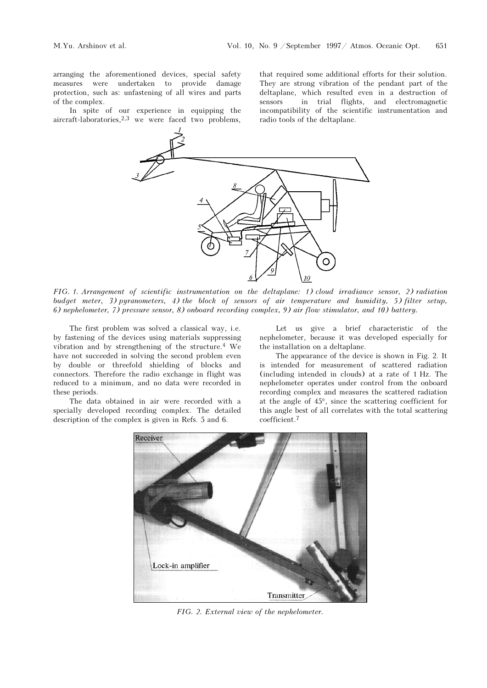arranging the aforementioned devices, special safety measures were undertaken to provide damage protection, such as: unfastening of all wires and parts of the complex.

In spite of our experience in equipping the aircraft-laboratories,2,3 we were faced two problems,

that required some additional efforts for their solution. They are strong vibration of the pendant part of the deltaplane, which resulted even in a destruction of sensors in trial flights, and electromagnetic incompatibility of the scientific instrumentation and radio tools of the deltaplane.



FIG. 1. Arrangement of scientific instrumentation on the deltaplane: 1) cloud irradiance sensor, 2) radiation budget meter, 3) pyranometers, 4) the block of sensors of air temperature and humidity, 5) filter setup, 6) nephelometer, 7) pressure sensor, 8) onboard recording complex, 9) air flow stimulator, and 10) battery.

The first problem was solved a classical way, i.e. by fastening of the devices using materials suppressing vibration and by strengthening of the structure.4 We have not succeeded in solving the second problem even by double or threefold shielding of blocks and connectors. Therefore the radio exchange in flight was reduced to a minimum, and no data were recorded in these periods.

The data obtained in air were recorded with a specially developed recording complex. The detailed description of the complex is given in Refs. 5 and 6.

Let us give a brief characteristic of the nephelometer, because it was developed especially for the installation on a deltaplane.

The appearance of the device is shown in Fig. 2. It is intended for measurement of scattered radiation (including intended in clouds) at a rate of 1 Hz. The nephelometer operates under control from the onboard recording complex and measures the scattered radiation at the angle of 45°, since the scattering coefficient for this angle best of all correlates with the total scattering coefficient.<sup>7</sup>



FIG. 2. External view of the nephelometer.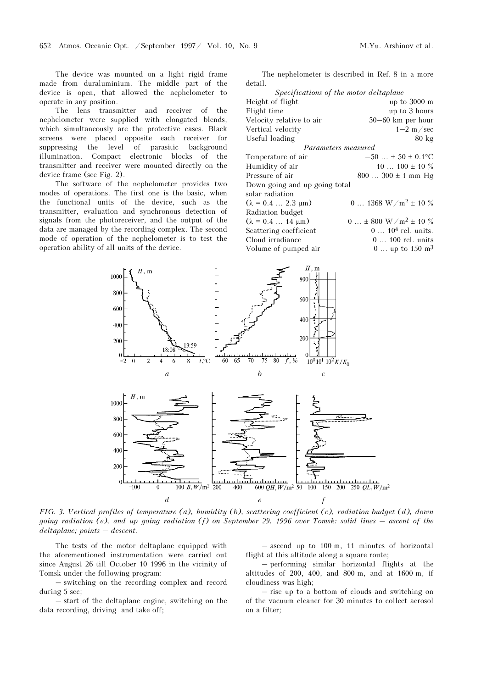The device was mounted on a light rigid frame made from duraluminium. The middle part of the device is open, that allowed the nephelometer to operate in any position.

The lens transmitter and receiver of the nephelometer were supplied with elongated blends, which simultaneously are the protective cases. Black screens were placed opposite each receiver for suppressing the level of parasitic background illumination. Compact electronic blocks of the transmitter and receiver were mounted directly on the device frame (see Fig. 2).

The software of the nephelometer provides two modes of operations. The first one is the basic, when the functional units of the device, such as the transmitter, evaluation and synchronous detection of signals from the photoreceiver, and the output of the data are managed by the recording complex. The second mode of operation of the nephelometer is to test the operation ability of all units of the device.

The nephelometer is described in Ref. 8 in a more detail.

| Specifications of the motor deltaplane |                                            |
|----------------------------------------|--------------------------------------------|
| Height of flight                       | up to 3000 m                               |
| Flight time                            | up to 3 hours                              |
| Velocity relative to air               | 50-60 km per hour                          |
| Vertical velocity                      | $1-2$ m/sec                                |
| Useful loading                         | $80 \text{ kg}$                            |
| Parameters measured                    |                                            |
| Temperature of air                     | $-50$ + 50 ± 0.1°C                         |
| Humidity of air                        | $10100 \pm 10\%$                           |
| Pressure of air                        | $800300 \pm 1$ mm Hg                       |
| Down going and up going total          |                                            |
| solar radiation                        |                                            |
| $(\lambda = 0.4 \dots 2.3 \mu m)$      | 0  1368 W/m <sup>2</sup> $\pm$ 10 %        |
| Radiation budget                       |                                            |
| $(\lambda = 0.4 \dots 14 \mu m)$       | $0  \pm 800$ W / m <sup>2</sup> $\pm$ 10 % |
| Scattering coefficient                 | $0 104$ rel. units.                        |
| Cloud irradiance                       | $0 \ldots 100$ rel. units                  |
| Volume of pumped air                   | 0  up to $150 \text{ m}^3$                 |



FIG. 3. Vertical profiles of temperature (a), humidity (b), scattering coefficient (c), radiation budget (d), down FIG. 3. Vertical profiles of the<br>going radiation (e), and up<br>deltaplane; points – descent.

The tests of the motor deltaplane equipped with the aforementioned instrumentation were carried out since August 26 till October 10 1996 in the vicinity of Tomsk under the following program:

– switching on the recording complex and record during 5 sec;

– start of the deltaplane engine, switching on the data recording, driving and take off;

– ascend up to 100 m, 11 minutes of horizontal flight at this altitude along a square route;

– performing similar horizontal flights at the altitudes of 200, 400, and 800 m, and at 1600 m, if cloudiness was high;

– rise up to a bottom of clouds and switching on of the vacuum cleaner for 30 minutes to collect aerosol on a filter;